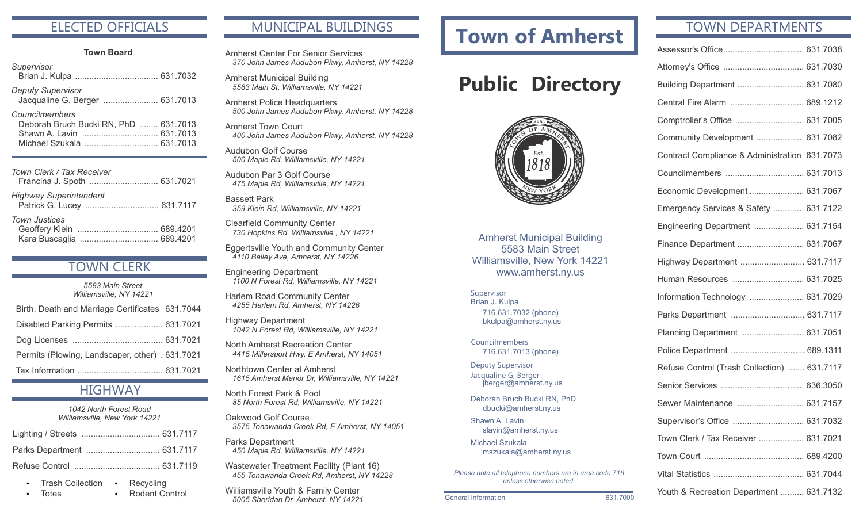#### ELECTED OFFICIALS

#### **Town Board**

| Supervisor                                                                                                       |  |
|------------------------------------------------------------------------------------------------------------------|--|
| <b>Deputy Supervisor</b><br>Jacqualine G. Berger  631.7013                                                       |  |
| Councilmembers<br>Deborah Bruch Bucki RN, PhD  631.7013<br>Shawn A. Lavin  631.7013<br>Michael Szukala  631.7013 |  |
| Town Clerk / Tax Receiver<br>Francina J. Spoth  631.7021                                                         |  |
| <b>Highway Superintendent</b>                                                                                    |  |

| <b>Town Justices</b> |  |
|----------------------|--|
|                      |  |
|                      |  |

#### TOWN CLERK

| 5583 Main Street<br>Williamsville, NY 14221     |  |
|-------------------------------------------------|--|
| Birth, Death and Marriage Certificates 631.7044 |  |
| Disabled Parking Permits  631.7021              |  |
|                                                 |  |
| Permits (Plowing, Landscaper, other) . 631.7021 |  |
|                                                 |  |

#### **HIGHWAY**

| 1042 North Forest Road        |  |  |
|-------------------------------|--|--|
| Williamsville, New York 14221 |  |  |

• Rodent Control

- Trash Collection Recycling
- **Totes**

#### MUNICIPAL BUILDINGS

Amherst Center For Senior Services *370 John James Audubon Pkwy, Amherst, NY 14228*

Amherst Municipal Building *5583 Main St, Williamsville, NY 14221*

Amherst Police Headquarters *500 John James Audubon Pkwy, Amherst, NY 14228*

Amherst Town Court *400 John James Audubon Pkwy, Amherst, NY 14228*

Audubon Golf Course *500 Maple Rd, Williamsville, NY 14221*

Audubon Par 3 Golf Course *475 Maple Rd, Williamsville, NY 14221*

Bassett Park *359 Klein Rd, Williamsville, NY 14221*

Clearfield Community Center *730 Hopkins Rd, Williamsville , NY 14221*

Eggertsville Youth and Community Center *4110 Bailey Ave, Amherst, NY 14226*

Engineering Department *1100 N Forest Rd, Williamsville, NY 14221*

Harlem Road Community Center *4255 Harlem Rd, Amherst, NY 14226*

Highway Department *1042 N Forest Rd, Williamsville, NY 14221*

North Amherst Recreation Center *4415 Millersport Hwy, E Amherst, NY 14051*

Northtown Center at Amherst *1615 Amherst Manor Dr, Williamsville, NY 14221*

North Forest Park & Pool *85 North Forest Rd, Williamsville, NY 14221*

Oakwood Golf Course *3575 Tonawanda Creek Rd, E Amherst, NY 14051*

Parks Department *450 Maple Rd, Williamsville, NY 14221*

Wastewater Treatment Facility (Plant 16) *455 Tonawanda Creek Rd, Amherst, NY 14228*

Williamsville Youth & Family Center *5005 Sheridan Dr, Amherst, NY 14221*

# **Town of Amherst**

# **Public Directory**



Amherst Municipal Building 5583 Main Street Williamsville, New York 14221 www.amherst.ny.us

Supervisor Brian J. Kulpa 716.631.7032 (phone) bkulpa@amherst.ny.us

716.631.7013 (phone) Councilmembers

Deputy Supervisor Jacqualine G, Berger jberger@amherst.ny.us

Deborah Bruch Bucki RN, PhD dbucki@amherst.ny.us

Shawn A. Lavin slavin@amherst.ny.us

Michael Szukala mszukala@amherst.ny.us

*Please note all telephone numbers are in area code 716 unless otherwise noted.*

General Information 631.7000

#### TOWN DEPARTMENTS

| Central Fire Alarm  689.1212                  |  |
|-----------------------------------------------|--|
| Comptroller's Office  631.7005                |  |
| Community Development  631.7082               |  |
| Contract Compliance & Administration 631.7073 |  |
|                                               |  |
| Economic Development  631.7067                |  |
| Emergency Services & Safety  631.7122         |  |
| Engineering Department  631.7154              |  |
| Finance Department  631.7067                  |  |
| Highway Department  631.7117                  |  |
| Human Resources  631.7025                     |  |
| Information Technology  631.7029              |  |
| Parks Department  631.7117                    |  |
| Planning Department  631.7051                 |  |
| Police Department  689.1311                   |  |
| Refuse Control (Trash Collection)  631.7117   |  |
|                                               |  |
| Sewer Maintenance  631.7157                   |  |
| Supervisor's Office  631.7032                 |  |
| Town Clerk / Tax Receiver  631.7021           |  |
|                                               |  |
|                                               |  |
| Youth & Recreation Department  631.7132       |  |